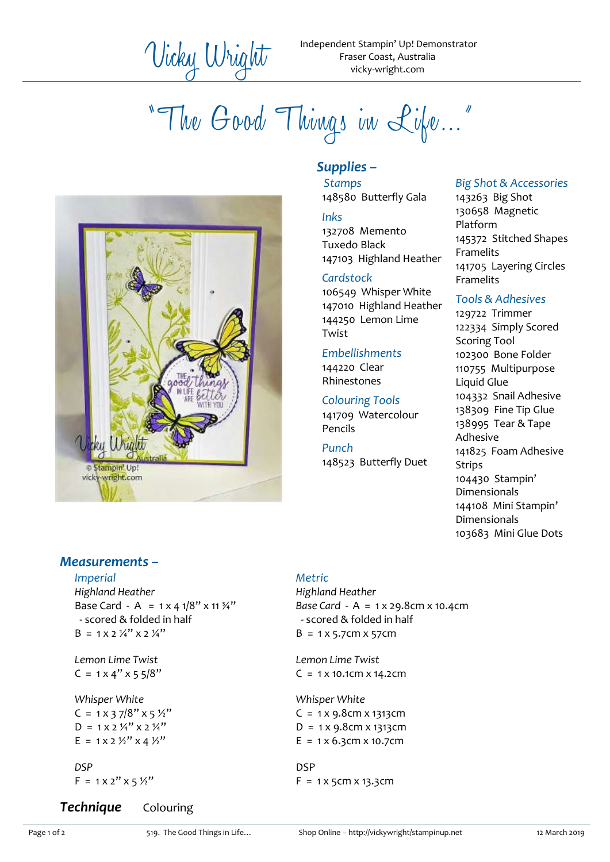"The Good Things in Life…"



# *Supplies –*

*Stamps* 148580 Butterfly Gala

#### *Inks*

132708 Memento Tuxedo Black 147103 Highland Heather

#### *Cardstock*

106549 Whisper White 147010 Highland Heather 144250 Lemon Lime Twist

## *Embellishments*

144220 Clear Rhinestones

## *Colouring Tools*

141709 Watercolour Pencils

#### *Punch* 148523 Butterfly Duet

## *Big Shot & Accessories*

143263 Big Shot 130658 Magnetic Platform 145372 Stitched Shapes **Framelits** 141705 Layering Circles Framelits

# *Tools & Adhesives*

129722 Trimmer 122334 Simply Scored Scoring Tool 102300 Bone Folder 110755 Multipurpose Liquid Glue 104332 Snail Adhesive 138309 Fine Tip Glue 138995 Tear & Tape Adhesive 141825 Foam Adhesive Strips 104430 Stampin' Dimensionals 144108 Mini Stampin' Dimensionals 103683 Mini Glue Dots

# *Measurements –*

#### *Imperial*

*Highland Heather* Base Card - A =  $1 \times 4 \frac{1}{8}$   $\times 11 \frac{3}{4}$ " - scored & folded in half  $B = 1 \times 2 \frac{1}{4}$ "  $\times 2 \frac{1}{4}$ "

*Lemon Lime Twist*  $C = 1 \times 4" \times 5 \frac{5}{8"$ 

*Whisper White*  $C = 1 \times 37/8" \times 5 \frac{1}{2}$  $D = 1 \times 2 \frac{1}{4}$   $\times 2 \frac{1}{4}$  $E = 1 \times 2 \frac{1}{2}$   $\times 4 \frac{1}{2}$ 

*DSP*  $F = 1 \times 2'' \times 5 \frac{1}{2}''$ 

# *Technique* Colouring

*Metric*

*Highland Heather Base Card -* A = 1 x 29.8cm x 10.4cm - scored & folded in half  $B = 1 \times 5.7$ cm  $\times 57$ cm

*Lemon Lime Twist*  $C = 1 \times 10.1$ cm  $\times 14.2$ cm

*Whisper White*  $C = 1 \times 9.8$ cm  $\times 1313$ cm  $D = 1 \times 9.8$ cm  $\times 1313$ cm  $E = 1 \times 6.3$ cm  $\times 10.7$ cm

DSP  $F = 1 \times 5$ cm  $\times 13.3$ cm